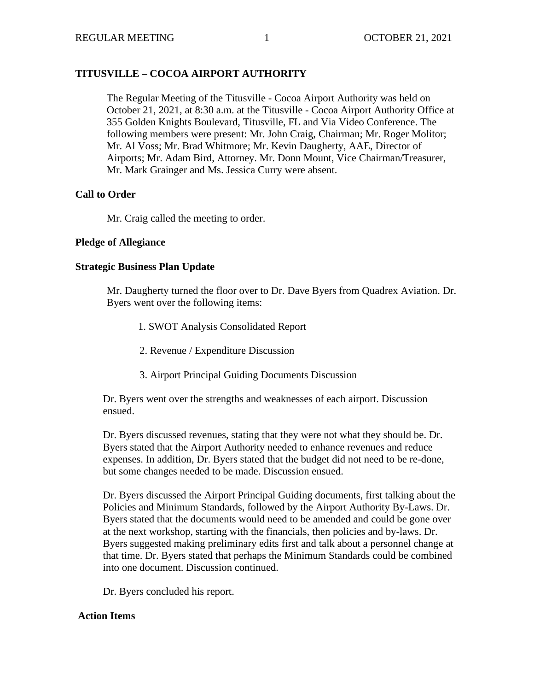# **TITUSVILLE – COCOA AIRPORT AUTHORITY**

The Regular Meeting of the Titusville - Cocoa Airport Authority was held on October 21, 2021, at 8:30 a.m. at the Titusville - Cocoa Airport Authority Office at 355 Golden Knights Boulevard, Titusville, FL and Via Video Conference. The following members were present: Mr. John Craig, Chairman; Mr. Roger Molitor; Mr. Al Voss; Mr. Brad Whitmore; Mr. Kevin Daugherty, AAE, Director of Airports; Mr. Adam Bird, Attorney. Mr. Donn Mount, Vice Chairman/Treasurer, Mr. Mark Grainger and Ms. Jessica Curry were absent.

### **Call to Order**

Mr. Craig called the meeting to order.

### **Pledge of Allegiance**

### **Strategic Business Plan Update**

Mr. Daugherty turned the floor over to Dr. Dave Byers from Quadrex Aviation. Dr. Byers went over the following items:

- 1. SWOT Analysis Consolidated Report
- 2. Revenue / Expenditure Discussion
- 3. Airport Principal Guiding Documents Discussion

Dr. Byers went over the strengths and weaknesses of each airport. Discussion ensued.

Dr. Byers discussed revenues, stating that they were not what they should be. Dr. Byers stated that the Airport Authority needed to enhance revenues and reduce expenses. In addition, Dr. Byers stated that the budget did not need to be re-done, but some changes needed to be made. Discussion ensued.

Dr. Byers discussed the Airport Principal Guiding documents, first talking about the Policies and Minimum Standards, followed by the Airport Authority By-Laws. Dr. Byers stated that the documents would need to be amended and could be gone over at the next workshop, starting with the financials, then policies and by-laws. Dr. Byers suggested making preliminary edits first and talk about a personnel change at that time. Dr. Byers stated that perhaps the Minimum Standards could be combined into one document. Discussion continued.

Dr. Byers concluded his report.

### **Action Items**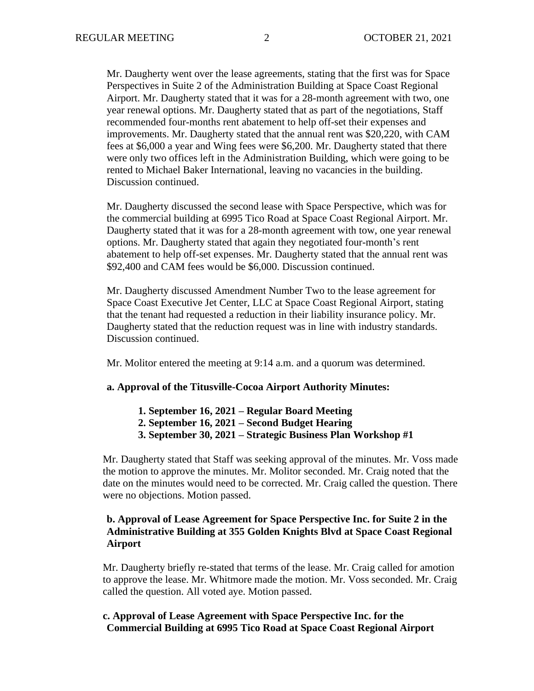Mr. Daugherty went over the lease agreements, stating that the first was for Space Perspectives in Suite 2 of the Administration Building at Space Coast Regional Airport. Mr. Daugherty stated that it was for a 28-month agreement with two, one year renewal options. Mr. Daugherty stated that as part of the negotiations, Staff recommended four-months rent abatement to help off-set their expenses and improvements. Mr. Daugherty stated that the annual rent was \$20,220, with CAM fees at \$6,000 a year and Wing fees were \$6,200. Mr. Daugherty stated that there were only two offices left in the Administration Building, which were going to be rented to Michael Baker International, leaving no vacancies in the building. Discussion continued.

Mr. Daugherty discussed the second lease with Space Perspective, which was for the commercial building at 6995 Tico Road at Space Coast Regional Airport. Mr. Daugherty stated that it was for a 28-month agreement with tow, one year renewal options. Mr. Daugherty stated that again they negotiated four-month's rent abatement to help off-set expenses. Mr. Daugherty stated that the annual rent was \$92,400 and CAM fees would be \$6,000. Discussion continued.

Mr. Daugherty discussed Amendment Number Two to the lease agreement for Space Coast Executive Jet Center, LLC at Space Coast Regional Airport, stating that the tenant had requested a reduction in their liability insurance policy. Mr. Daugherty stated that the reduction request was in line with industry standards. Discussion continued.

Mr. Molitor entered the meeting at 9:14 a.m. and a quorum was determined.

#### **a. Approval of the Titusville-Cocoa Airport Authority Minutes:**

**1. September 16, 2021 – Regular Board Meeting 2. September 16, 2021 – Second Budget Hearing 3. September 30, 2021 – Strategic Business Plan Workshop #1**

Mr. Daugherty stated that Staff was seeking approval of the minutes. Mr. Voss made the motion to approve the minutes. Mr. Molitor seconded. Mr. Craig noted that the date on the minutes would need to be corrected. Mr. Craig called the question. There were no objections. Motion passed.

### **b. Approval of Lease Agreement for Space Perspective Inc. for Suite 2 in the Administrative Building at 355 Golden Knights Blvd at Space Coast Regional Airport**

Mr. Daugherty briefly re-stated that terms of the lease. Mr. Craig called for amotion to approve the lease. Mr. Whitmore made the motion. Mr. Voss seconded. Mr. Craig called the question. All voted aye. Motion passed.

### **c. Approval of Lease Agreement with Space Perspective Inc. for the Commercial Building at 6995 Tico Road at Space Coast Regional Airport**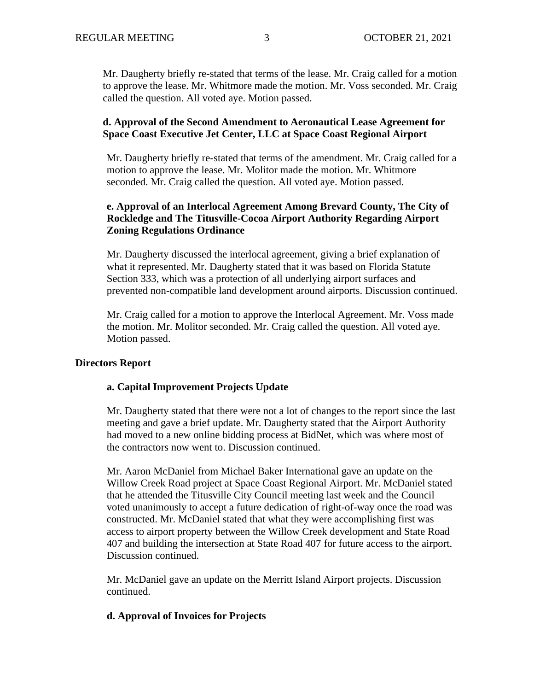Mr. Daugherty briefly re-stated that terms of the lease. Mr. Craig called for a motion to approve the lease. Mr. Whitmore made the motion. Mr. Voss seconded. Mr. Craig called the question. All voted aye. Motion passed.

### **d. Approval of the Second Amendment to Aeronautical Lease Agreement for Space Coast Executive Jet Center, LLC at Space Coast Regional Airport**

Mr. Daugherty briefly re-stated that terms of the amendment. Mr. Craig called for a motion to approve the lease. Mr. Molitor made the motion. Mr. Whitmore seconded. Mr. Craig called the question. All voted aye. Motion passed.

### **e. Approval of an Interlocal Agreement Among Brevard County, The City of Rockledge and The Titusville-Cocoa Airport Authority Regarding Airport Zoning Regulations Ordinance**

Mr. Daugherty discussed the interlocal agreement, giving a brief explanation of what it represented. Mr. Daugherty stated that it was based on Florida Statute Section 333, which was a protection of all underlying airport surfaces and prevented non-compatible land development around airports. Discussion continued.

Mr. Craig called for a motion to approve the Interlocal Agreement. Mr. Voss made the motion. Mr. Molitor seconded. Mr. Craig called the question. All voted aye. Motion passed.

### **Directors Report**

### **a. Capital Improvement Projects Update**

Mr. Daugherty stated that there were not a lot of changes to the report since the last meeting and gave a brief update. Mr. Daugherty stated that the Airport Authority had moved to a new online bidding process at BidNet, which was where most of the contractors now went to. Discussion continued.

Mr. Aaron McDaniel from Michael Baker International gave an update on the Willow Creek Road project at Space Coast Regional Airport. Mr. McDaniel stated that he attended the Titusville City Council meeting last week and the Council voted unanimously to accept a future dedication of right-of-way once the road was constructed. Mr. McDaniel stated that what they were accomplishing first was access to airport property between the Willow Creek development and State Road 407 and building the intersection at State Road 407 for future access to the airport. Discussion continued.

Mr. McDaniel gave an update on the Merritt Island Airport projects. Discussion continued.

### **d. Approval of Invoices for Projects**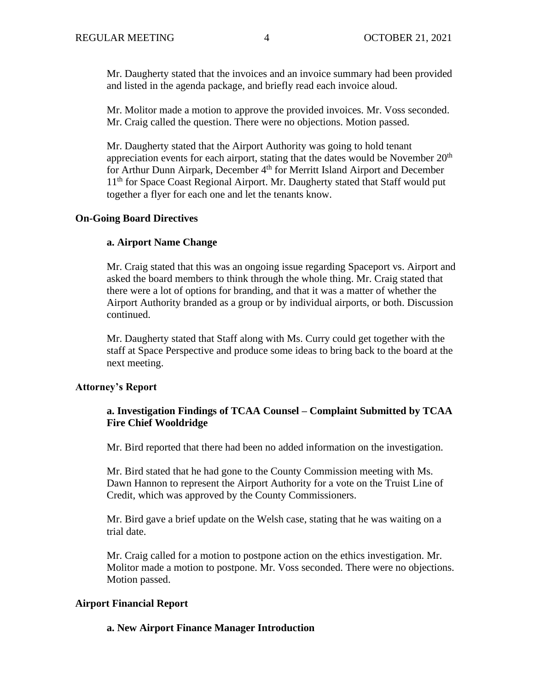Mr. Daugherty stated that the invoices and an invoice summary had been provided and listed in the agenda package, and briefly read each invoice aloud.

Mr. Molitor made a motion to approve the provided invoices. Mr. Voss seconded. Mr. Craig called the question. There were no objections. Motion passed.

Mr. Daugherty stated that the Airport Authority was going to hold tenant appreciation events for each airport, stating that the dates would be November  $20<sup>th</sup>$ for Arthur Dunn Airpark, December 4<sup>th</sup> for Merritt Island Airport and December 11<sup>th</sup> for Space Coast Regional Airport. Mr. Daugherty stated that Staff would put together a flyer for each one and let the tenants know.

### **On-Going Board Directives**

### **a. Airport Name Change**

Mr. Craig stated that this was an ongoing issue regarding Spaceport vs. Airport and asked the board members to think through the whole thing. Mr. Craig stated that there were a lot of options for branding, and that it was a matter of whether the Airport Authority branded as a group or by individual airports, or both. Discussion continued.

Mr. Daugherty stated that Staff along with Ms. Curry could get together with the staff at Space Perspective and produce some ideas to bring back to the board at the next meeting.

### **Attorney's Report**

# **a. Investigation Findings of TCAA Counsel – Complaint Submitted by TCAA Fire Chief Wooldridge**

Mr. Bird reported that there had been no added information on the investigation.

Mr. Bird stated that he had gone to the County Commission meeting with Ms. Dawn Hannon to represent the Airport Authority for a vote on the Truist Line of Credit, which was approved by the County Commissioners.

Mr. Bird gave a brief update on the Welsh case, stating that he was waiting on a trial date.

Mr. Craig called for a motion to postpone action on the ethics investigation. Mr. Molitor made a motion to postpone. Mr. Voss seconded. There were no objections. Motion passed.

### **Airport Financial Report**

### **a. New Airport Finance Manager Introduction**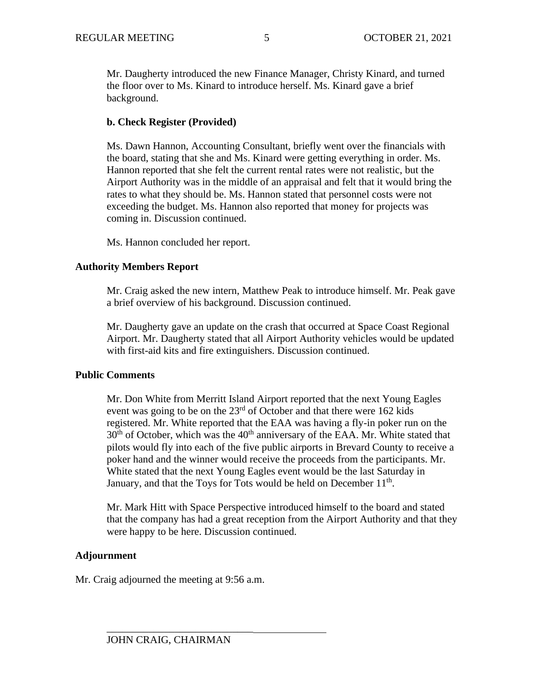Mr. Daugherty introduced the new Finance Manager, Christy Kinard, and turned the floor over to Ms. Kinard to introduce herself. Ms. Kinard gave a brief background.

# **b. Check Register (Provided)**

Ms. Dawn Hannon, Accounting Consultant, briefly went over the financials with the board, stating that she and Ms. Kinard were getting everything in order. Ms. Hannon reported that she felt the current rental rates were not realistic, but the Airport Authority was in the middle of an appraisal and felt that it would bring the rates to what they should be. Ms. Hannon stated that personnel costs were not exceeding the budget. Ms. Hannon also reported that money for projects was coming in. Discussion continued.

Ms. Hannon concluded her report.

### **Authority Members Report**

Mr. Craig asked the new intern, Matthew Peak to introduce himself. Mr. Peak gave a brief overview of his background. Discussion continued.

Mr. Daugherty gave an update on the crash that occurred at Space Coast Regional Airport. Mr. Daugherty stated that all Airport Authority vehicles would be updated with first-aid kits and fire extinguishers. Discussion continued.

# **Public Comments**

Mr. Don White from Merritt Island Airport reported that the next Young Eagles event was going to be on the 23<sup>rd</sup> of October and that there were 162 kids registered. Mr. White reported that the EAA was having a fly-in poker run on the  $30<sup>th</sup>$  of October, which was the  $40<sup>th</sup>$  anniversary of the EAA. Mr. White stated that pilots would fly into each of the five public airports in Brevard County to receive a poker hand and the winner would receive the proceeds from the participants. Mr. White stated that the next Young Eagles event would be the last Saturday in January, and that the Toys for Tots would be held on December  $11<sup>th</sup>$ .

Mr. Mark Hitt with Space Perspective introduced himself to the board and stated that the company has had a great reception from the Airport Authority and that they were happy to be here. Discussion continued.

# **Adjournment**

Mr. Craig adjourned the meeting at 9:56 a.m.

\_\_\_\_\_\_\_\_\_\_\_\_\_\_\_\_\_\_\_\_\_\_\_\_\_\_\_\_